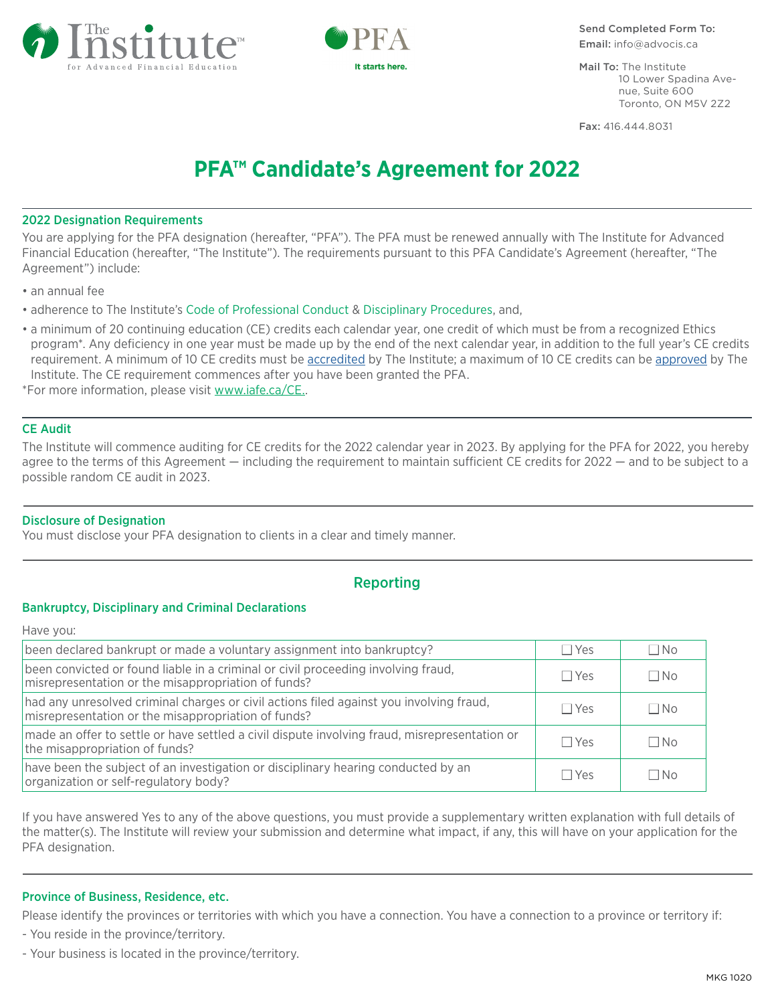



Send Completed Form To: Email: info@advocis.ca

Mail To: The Institute 10 Lower Spadina Avenue, Suite 600 Toronto, ON M5V 2Z2

Fax: 416.444.8031

# **PFA™ Candidate's Agreement for 2022**

## 2022 Designation Requirements

You are applying for the PFA designation (hereafter, "PFA"). The PFA must be renewed annually with The Institute for Advanced Financial Education (hereafter, "The Institute"). The requirements pursuant to this PFA Candidate's Agreement (hereafter, "The Agreement") include:

- an annual fee
- adherence to The Institute's [Code of Professional Conduct](http://www.iafe.ca/CPC.aspx) & [Disciplinary Procedures,](http://www.iafe.ca/pdf/Disciplinary-Procedure-2018.pdf) and,
- a minimum of 20 continuing education (CE) credits each calendar year, one credit of which must be from a recognized Ethics program\*. Any deficiency in one year must be made up by the end of the next calendar year, in addition to the full year's CE credits requirement. A minimum of 10 CE credits must be [accredited](https://www.iafe.ca/Continuing-Ed-FAQ.aspx) by The Institute; a maximum of 10 CE credits can be [approved](https://www.iafe.ca/Continuing-Ed-FAQ.aspx) by The Institute. The CE requirement commences after you have been granted the PFA.

\*For more information, please visit [www.iafe.ca/CE..](https://www.iafe.ca/Continuing-Ed-FAQ.aspx)

## CE Audit

The Institute will commence auditing for CE credits for the 2022 calendar year in 2023. By applying for the PFA for 2022, you hereby agree to the terms of this Agreement — including the requirement to maintain sufficient CE credits for 2022 — and to be subject to a possible random CE audit in 2023.

## Disclosure of Designation

You must disclose your PFA designation to clients in a clear and timely manner.

# Reporting

## Bankruptcy, Disciplinary and Criminal Declarations

Have you:

| been declared bankrupt or made a voluntary assignment into bankruptcy?                                                                         | $\Box$ Yes | $\Box$ No |
|------------------------------------------------------------------------------------------------------------------------------------------------|------------|-----------|
| been convicted or found liable in a criminal or civil proceeding involving fraud,<br>misrepresentation or the misappropriation of funds?       | $\Box$ Yes | $\Box$ No |
| had any unresolved criminal charges or civil actions filed against you involving fraud,<br>misrepresentation or the misappropriation of funds? | $\Box$ Yes | $\Box$ No |
| made an offer to settle or have settled a civil dispute involving fraud, misrepresentation or<br>the misappropriation of funds?                | $\Box$ Yes | $\Box$ No |
| have been the subject of an investigation or disciplinary hearing conducted by an<br>organization or self-regulatory body?                     | $\Box$ Yes | $\Box$ No |

If you have answered Yes to any of the above questions, you must provide a supplementary written explanation with full details of the matter(s). The Institute will review your submission and determine what impact, if any, this will have on your application for the PFA designation.

## Province of Business, Residence, etc.

Please identify the provinces or territories with which you have a connection. You have a connection to a province or territory if:

- You reside in the province/territory.

- Your business is located in the province/territory.